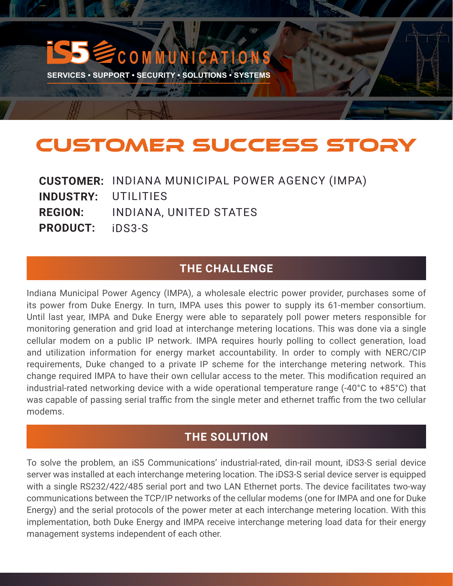# **C M M U N I C A T I O N**

**SERVICES • SUPPORT • SECURITY • SOLUTIONS • SYSTEMS** 

**CA WHO AND** 

# CUSTOMER SUCCESS STORY

|                            | <b>CUSTOMER: INDIANA MUNICIPAL POWER AGENCY (IMPA)</b> |
|----------------------------|--------------------------------------------------------|
| <b>INDUSTRY: UTILITIES</b> |                                                        |
|                            | <b>REGION: INDIANA, UNITED STATES</b>                  |
| <b>PRODUCT:</b> iDS3-S     |                                                        |

### **THE CHALLENGE**

Indiana Municipal Power Agency (IMPA), a wholesale electric power provider, purchases some of its power from Duke Energy. In turn, IMPA uses this power to supply its 61-member consortium. Until last year, IMPA and Duke Energy were able to separately poll power meters responsible for monitoring generation and grid load at interchange metering locations. This was done via a single cellular modem on a public IP network. IMPA requires hourly polling to collect generation, load and utilization information for energy market accountability. In order to comply with NERC/CIP requirements, Duke changed to a private IP scheme for the interchange metering network. This change required IMPA to have their own cellular access to the meter. This modification required an industrial-rated networking device with a wide operational temperature range (-40°C to +85°C) that was capable of passing serial traffic from the single meter and ethernet traffic from the two cellular modems.

## **THE SOLUTION**

To solve the problem, an iS5 Communications' industrial-rated, din-rail mount, iDS3-S serial device server was installed at each interchange metering location. The iDS3-S serial device server is equipped with a single RS232/422/485 serial port and two LAN Ethernet ports. The device facilitates two-way communications between the TCP/IP networks of the cellular modems (one for IMPA and one for Duke Energy) and the serial protocols of the power meter at each interchange metering location. With this implementation, both Duke Energy and IMPA receive interchange metering load data for their energy management systems independent of each other.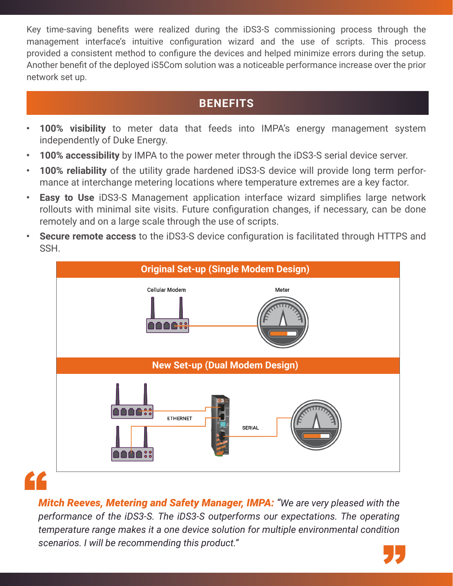Key time-saving benefits were realized during the iDS3-S commissioning process through the management interface's intuitive configuration wizard and the use of scripts. This process provided a consistent method to configure the devices and helped minimize errors during the setup. Another benefit of the deployed iS5Com solution was a noticeable performance increase over the prior network set up.

# **BENEFITS**

- **• 100% visibility** to meter data that feeds into IMPA's energy management system independently of Duke Energy.
- **• 100% accessibility** by IMPA to the power meter through the iDS3-S serial device server.
- **• 100% reliability** of the utility grade hardened iDS3-S device will provide long term performance at interchange metering locations where temperature extremes are a key factor.
- **• Easy to Use** iDS3-S Management application interface wizard simplifies large network rollouts with minimal site visits. Future configuration changes, if necessary, can be done remotely and on a large scale through the use of scripts.
- **• Secure remote access** to the iDS3-S device configuration is facilitated through HTTPS and SSH.



# "

*Mitch Reeves, Metering and Safety Manager, IMPA: "We are very pleased with the performance of the iDS3-S. The iDS3-S outperforms our expectations. The operating temperature range makes it a one device solution for multiple environmental condition scenarios. I will be recommending this product."* "